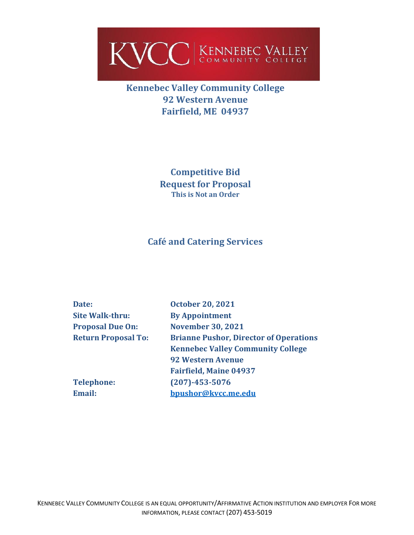

**Kennebec Valley Community College 92 Western Avenue Fairfield, ME 04937**

> **Competitive Bid Request for Proposal This is Not an Order**

## **Café and Catering Services**

| Date:                      | <b>October 20, 2021</b>                       |
|----------------------------|-----------------------------------------------|
| <b>Site Walk-thru:</b>     | <b>By Appointment</b>                         |
| <b>Proposal Due On:</b>    | <b>November 30, 2021</b>                      |
| <b>Return Proposal To:</b> | <b>Brianne Pushor, Director of Operations</b> |
|                            | <b>Kennebec Valley Community College</b>      |
|                            | <b>92 Western Avenue</b>                      |
|                            | <b>Fairfield, Maine 04937</b>                 |
| <b>Telephone:</b>          | $(207) - 453 - 5076$                          |
| Email:                     | bpushor@kvcc.me.edu                           |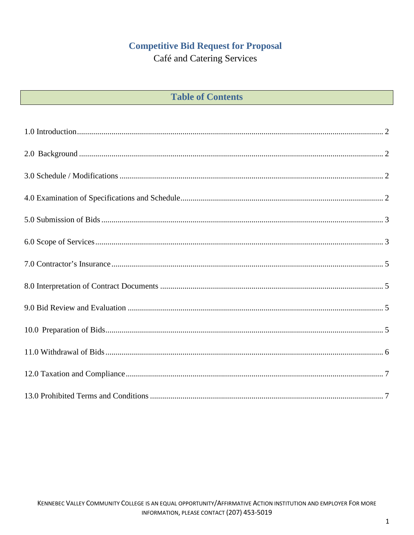# **Competitive Bid Request for Proposal**

Café and Catering Services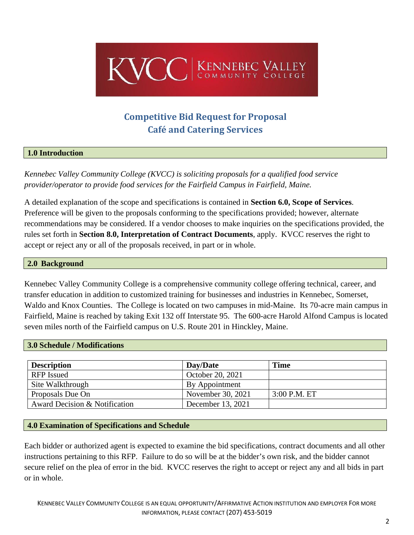

# **Competitive Bid Request for Proposal Café and Catering Services**

## <span id="page-2-0"></span>**1.0 Introduction**

*Kennebec Valley Community College (KVCC) is soliciting proposals for a qualified food service provider/operator to provide food services for the Fairfield Campus in Fairfield, Maine.*

A detailed explanation of the scope and specifications is contained in **Section 6.0, Scope of Services**. Preference will be given to the proposals conforming to the specifications provided; however, alternate recommendations may be considered. If a vendor chooses to make inquiries on the specifications provided, the rules set forth in **Section 8.0, Interpretation of Contract Documents**, apply. KVCC reserves the right to accept or reject any or all of the proposals received, in part or in whole.

#### <span id="page-2-1"></span>**2.0 Background**

Kennebec Valley Community College is a comprehensive community college offering technical, career, and transfer education in addition to customized training for businesses and industries in Kennebec, Somerset, Waldo and Knox Counties. The College is located on two campuses in mid-Maine. Its 70-acre main campus in Fairfield, Maine is reached by taking Exit 132 off Interstate 95. The 600-acre Harold Alfond Campus is located seven miles north of the Fairfield campus on U.S. Route 201 in Hinckley, Maine.

#### <span id="page-2-2"></span>**3.0 Schedule / Modifications**

| <b>Description</b>            | Day/Date          | <b>Time</b>    |
|-------------------------------|-------------------|----------------|
| RFP Issued                    | October 20, 2021  |                |
| Site Walkthrough              | By Appointment    |                |
| Proposals Due On              | November 30, 2021 | $3:00$ P.M. ET |
| Award Decision & Notification | December 13, 2021 |                |

#### <span id="page-2-3"></span>**4.0 Examination of Specifications and Schedule**

Each bidder or authorized agent is expected to examine the bid specifications, contract documents and all other instructions pertaining to this RFP. Failure to do so will be at the bidder's own risk, and the bidder cannot secure relief on the plea of error in the bid. KVCC reserves the right to accept or reject any and all bids in part or in whole.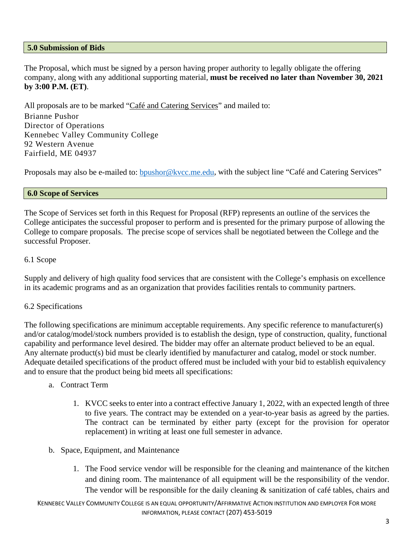## <span id="page-3-0"></span>**5.0 Submission of Bids**

The Proposal, which must be signed by a person having proper authority to legally obligate the offering company, along with any additional supporting material, **must be received no later than November 30, 2021 by 3:00 P.M. (ET)**.

All proposals are to be marked "Café and Catering Services" and mailed to:

Brianne Pushor Director of Operations Kennebec Valley Community College 92 Western Avenue Fairfield, ME 04937

Proposals may also be e-mailed to: **bpushor@kvcc.me.edu**, with the subject line "Café and Catering Services"

## <span id="page-3-1"></span>**6.0 Scope of Services**

The Scope of Services set forth in this Request for Proposal (RFP) represents an outline of the services the College anticipates the successful proposer to perform and is presented for the primary purpose of allowing the College to compare proposals. The precise scope of services shall be negotiated between the College and the successful Proposer.

## 6.1 Scope

Supply and delivery of high quality food services that are consistent with the College's emphasis on excellence in its academic programs and as an organization that provides facilities rentals to community partners.

## 6.2 Specifications

The following specifications are minimum acceptable requirements. Any specific reference to manufacturer(s) and/or catalog/model/stock numbers provided is to establish the design, type of construction, quality, functional capability and performance level desired. The bidder may offer an alternate product believed to be an equal. Any alternate product(s) bid must be clearly identified by manufacturer and catalog, model or stock number. Adequate detailed specifications of the product offered must be included with your bid to establish equivalency and to ensure that the product being bid meets all specifications:

- a. Contract Term
	- 1. KVCC seeks to enter into a contract effective January 1, 2022, with an expected length of three to five years. The contract may be extended on a year-to-year basis as agreed by the parties. The contract can be terminated by either party (except for the provision for operator replacement) in writing at least one full semester in advance.
- b. Space, Equipment, and Maintenance
	- 1. The Food service vendor will be responsible for the cleaning and maintenance of the kitchen and dining room. The maintenance of all equipment will be the responsibility of the vendor. The vendor will be responsible for the daily cleaning  $\&$  sanitization of café tables, chairs and

KENNEBEC VALLEY COMMUNITY COLLEGE IS AN EQUAL OPPORTUNITY/AFFIRMATIVE ACTION INSTITUTION AND EMPLOYER FOR MORE INFORMATION, PLEASE CONTACT (207) 453-5019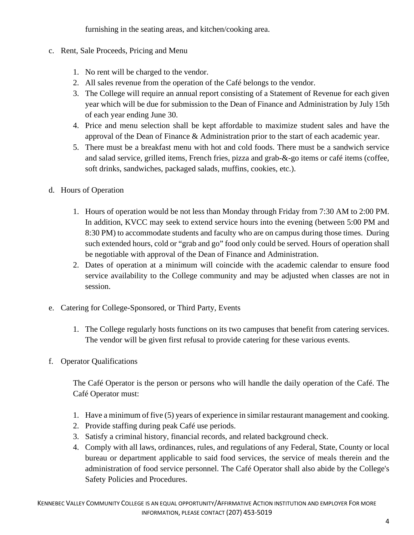furnishing in the seating areas, and kitchen/cooking area.

- c. Rent, Sale Proceeds, Pricing and Menu
	- 1. No rent will be charged to the vendor.
	- 2. All sales revenue from the operation of the Café belongs to the vendor.
	- 3. The College will require an annual report consisting of a Statement of Revenue for each given year which will be due for submission to the Dean of Finance and Administration by July 15th of each year ending June 30.
	- 4. Price and menu selection shall be kept affordable to maximize student sales and have the approval of the Dean of Finance & Administration prior to the start of each academic year.
	- 5. There must be a breakfast menu with hot and cold foods. There must be a sandwich service and salad service, grilled items, French fries, pizza and grab-&-go items or café items (coffee, soft drinks, sandwiches, packaged salads, muffins, cookies, etc.).
- d. Hours of Operation
	- 1. Hours of operation would be not less than Monday through Friday from 7:30 AM to 2:00 PM. In addition, KVCC may seek to extend service hours into the evening (between 5:00 PM and 8:30 PM) to accommodate students and faculty who are on campus during those times. During such extended hours, cold or "grab and go" food only could be served. Hours of operation shall be negotiable with approval of the Dean of Finance and Administration.
	- 2. Dates of operation at a minimum will coincide with the academic calendar to ensure food service availability to the College community and may be adjusted when classes are not in session.
- e. Catering for College-Sponsored, or Third Party, Events
	- 1. The College regularly hosts functions on its two campuses that benefit from catering services. The vendor will be given first refusal to provide catering for these various events.
- f. Operator Qualifications

The Café Operator is the person or persons who will handle the daily operation of the Café. The Café Operator must:

- 1. Have a minimum of five (5) years of experience in similar restaurant management and cooking.
- 2. Provide staffing during peak Café use periods.
- 3. Satisfy a criminal history, financial records, and related background check.
- 4. Comply with all laws, ordinances, rules, and regulations of any Federal, State, County or local bureau or department applicable to said food services, the service of meals therein and the administration of food service personnel. The Café Operator shall also abide by the College's Safety Policies and Procedures.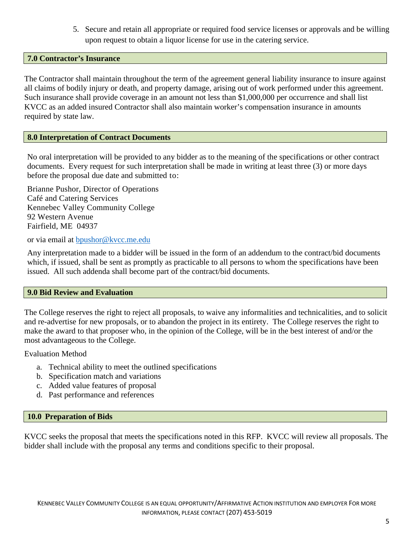5. Secure and retain all appropriate or required food service licenses or approvals and be willing upon request to obtain a liquor license for use in the catering service.

### <span id="page-5-0"></span>**7.0 Contractor's Insurance**

<span id="page-5-1"></span>The Contractor shall maintain throughout the term of the agreement general liability insurance to insure against all claims of bodily injury or death, and property damage, arising out of work performed under this agreement. Such insurance shall provide coverage in an amount not less than \$1,000,000 per occurrence and shall list KVCC as an added insured Contractor shall also maintain worker's compensation insurance in amounts required by state law.

## **8.0 Interpretation of Contract Documents**

No oral interpretation will be provided to any bidder as to the meaning of the specifications or other contract documents. Every request for such interpretation shall be made in writing at least three (3) or more days before the proposal due date and submitted to:

Brianne Pushor, Director of Operations Café and Catering Services Kennebec Valley Community College 92 Western Avenue Fairfield, ME 04937

or via email at [bpushor@kvcc.me.edu](mailto:bpushor@kvcc.me.edu)

Any interpretation made to a bidder will be issued in the form of an addendum to the contract/bid documents which, if issued, shall be sent as promptly as practicable to all persons to whom the specifications have been issued. All such addenda shall become part of the contract/bid documents.

#### <span id="page-5-2"></span>**9.0 Bid Review and Evaluation**

The College reserves the right to reject all proposals, to waive any informalities and technicalities, and to solicit and re-advertise for new proposals, or to abandon the project in its entirety. The College reserves the right to make the award to that proposer who, in the opinion of the College, will be in the best interest of and/or the most advantageous to the College.

Evaluation Method

- a. Technical ability to meet the outlined specifications
- b. Specification match and variations
- c. Added value features of proposal
- d. Past performance and references

#### <span id="page-5-3"></span>**10.0 Preparation of Bids**

KVCC seeks the proposal that meets the specifications noted in this RFP. KVCC will review all proposals. The bidder shall include with the proposal any terms and conditions specific to their proposal.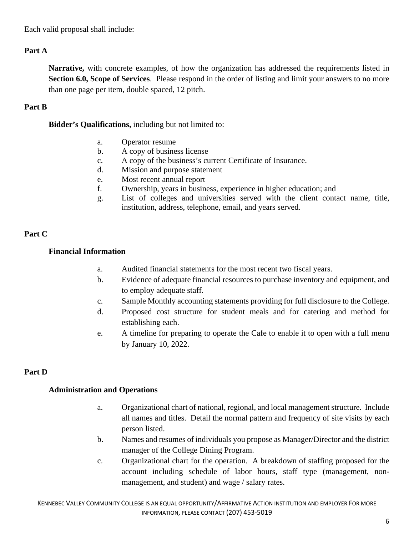Each valid proposal shall include:

## <span id="page-6-0"></span>**Part A**

**Narrative,** with concrete examples, of how the organization has addressed the requirements listed in **Section 6.0, Scope of Services**. Please respond in the order of listing and limit your answers to no more than one page per item, double spaced, 12 pitch.

## **Part B**

**Bidder's Qualifications,** including but not limited to:

- a. Operator resume
- b. A copy of business license
- c. A copy of the business's current Certificate of Insurance.
- d. Mission and purpose statement
- e. Most recent annual report
- f. Ownership, years in business, experience in higher education; and
- g. List of colleges and universities served with the client contact name, title, institution, address, telephone, email, and years served.

## **Part C**

## **Financial Information**

- a. Audited financial statements for the most recent two fiscal years.
- b. Evidence of adequate financial resources to purchase inventory and equipment, and to employ adequate staff.
- c. Sample Monthly accounting statements providing for full disclosure to the College.
- d. Proposed cost structure for student meals and for catering and method for establishing each.
- e. A timeline for preparing to operate the Cafe to enable it to open with a full menu by January 10, 2022.

## **Part D**

## **Administration and Operations**

- a. Organizational chart of national, regional, and local management structure. Include all names and titles. Detail the normal pattern and frequency of site visits by each person listed.
- b. Names and resumes of individuals you propose as Manager/Director and the district manager of the College Dining Program.
- c. Organizational chart for the operation. A breakdown of staffing proposed for the account including schedule of labor hours, staff type (management, nonmanagement, and student) and wage / salary rates.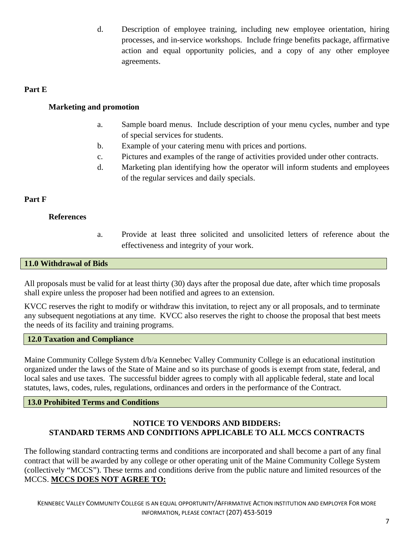d. Description of employee training, including new employee orientation, hiring processes, and in-service workshops. Include fringe benefits package, affirmative action and equal opportunity policies, and a copy of any other employee agreements.

## **Part E**

## **Marketing and promotion**

- a. Sample board menus. Include description of your menu cycles, number and type of special services for students.
- b. Example of your catering menu with prices and portions.
- c. Pictures and examples of the range of activities provided under other contracts.
- d. Marketing plan identifying how the operator will inform students and employees of the regular services and daily specials.

#### **Part F**

#### **References**

a. Provide at least three solicited and unsolicited letters of reference about the effectiveness and integrity of your work.

#### **11.0 Withdrawal of Bids**

All proposals must be valid for at least thirty (30) days after the proposal due date, after which time proposals shall expire unless the proposer had been notified and agrees to an extension.

KVCC reserves the right to modify or withdraw this invitation, to reject any or all proposals, and to terminate any subsequent negotiations at any time. KVCC also reserves the right to choose the proposal that best meets the needs of its facility and training programs.

#### <span id="page-7-0"></span>**12.0 Taxation and Compliance**

Maine Community College System d/b/a Kennebec Valley Community College is an educational institution organized under the laws of the State of Maine and so its purchase of goods is exempt from state, federal, and local sales and use taxes. The successful bidder agrees to comply with all applicable federal, state and local statutes, laws, codes, rules, regulations, ordinances and orders in the performance of the Contract.

## <span id="page-7-1"></span>**13.0 Prohibited Terms and Conditions**

## **NOTICE TO VENDORS AND BIDDERS: STANDARD TERMS AND CONDITIONS APPLICABLE TO ALL MCCS CONTRACTS**

The following standard contracting terms and conditions are incorporated and shall become a part of any final contract that will be awarded by any college or other operating unit of the Maine Community College System (collectively "MCCS"). These terms and conditions derive from the public nature and limited resources of the MCCS. **MCCS DOES NOT AGREE TO:**